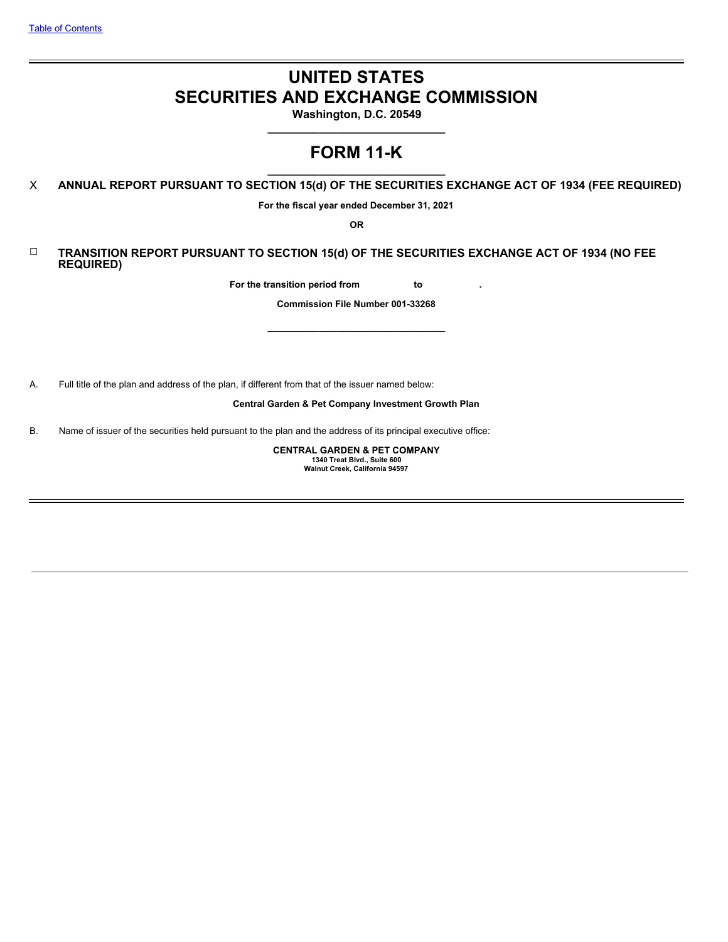# **UNITED STATES SECURITIES AND EXCHANGE COMMISSION**

**Washington, D.C. 20549 \_\_\_\_\_\_\_\_\_\_\_\_\_\_\_\_\_\_\_\_\_\_\_\_\_\_\_\_**

## **FORM 11-K \_\_\_\_\_\_\_\_\_\_\_\_\_\_\_\_\_\_\_\_\_\_\_\_\_\_\_\_**

X **ANNUAL REPORT PURSUANT TO SECTION 15(d) OF THE SECURITIES EXCHANGE ACT OF 1934 (FEE REQUIRED)**

**For the fiscal year ended December 31, 2021**

**OR**

## ☐ **TRANSITION REPORT PURSUANT TO SECTION 15(d) OF THE SECURITIES EXCHANGE ACT OF 1934 (NO FEE REQUIRED)**

**For the transition period from to .**

**Commission File Number 001-33268**

**\_\_\_\_\_\_\_\_\_\_\_\_\_\_\_\_\_\_\_\_\_\_\_\_\_\_\_\_**

A. Full title of the plan and address of the plan, if different from that of the issuer named below:

**Central Garden & Pet Company Investment Growth Plan**

<span id="page-0-0"></span>B. Name of issuer of the securities held pursuant to the plan and the address of its principal executive office:

**CENTRAL GARDEN & PET COMPANY 1340 Treat Blvd., Suite 600 Walnut Creek, California 94597**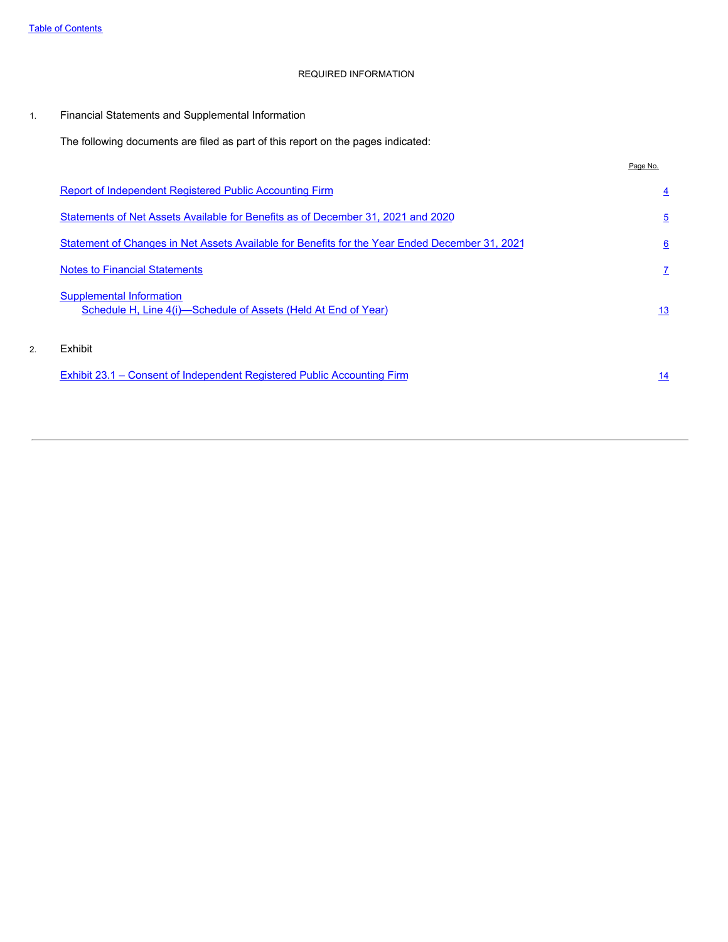$2.$ 

## REQUIRED INFORMATION

## 1. Financial Statements and Supplemental Information

The following documents are filed as part of this report on the pages indicated:

|                                                                                                | Page No.        |
|------------------------------------------------------------------------------------------------|-----------------|
| <b>Report of Independent Registered Public Accounting Firm</b>                                 | $\overline{4}$  |
| Statements of Net Assets Available for Benefits as of December 31, 2021 and 2020               | $\overline{5}$  |
| Statement of Changes in Net Assets Available for Benefits for the Year Ended December 31, 2021 | $6\overline{6}$ |
| <b>Notes to Financial Statements</b>                                                           |                 |
| Supplemental Information<br>Schedule H, Line 4(i)—Schedule of Assets (Held At End of Year)     | <u>13</u>       |
| Exhibit                                                                                        |                 |
| <b>Exhibit 23.1 – Consent of Independent Registered Public Accounting Firm</b>                 | 14              |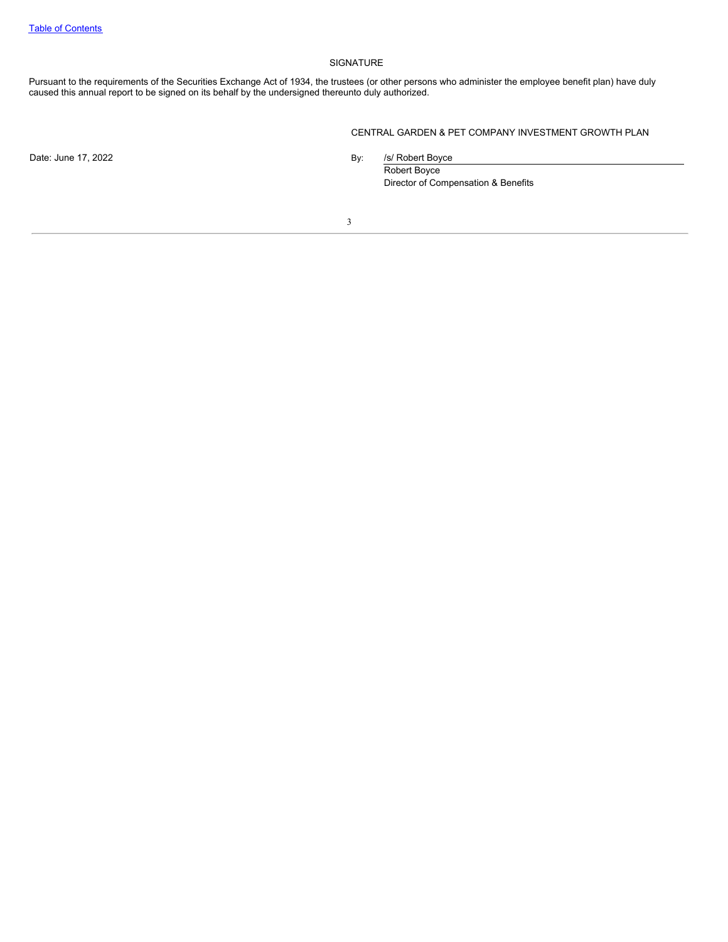## SIGNATURE

Pursuant to the requirements of the Securities Exchange Act of 1934, the trustees (or other persons who administer the employee benefit plan) have duly caused this annual report to be signed on its behalf by the undersigned thereunto duly authorized.

<span id="page-2-0"></span>Date: June 17, 2022 **By:** /s/ Robert Boyce

CENTRAL GARDEN & PET COMPANY INVESTMENT GROWTH PLAN

Robert Boyce Director of Compensation & Benefits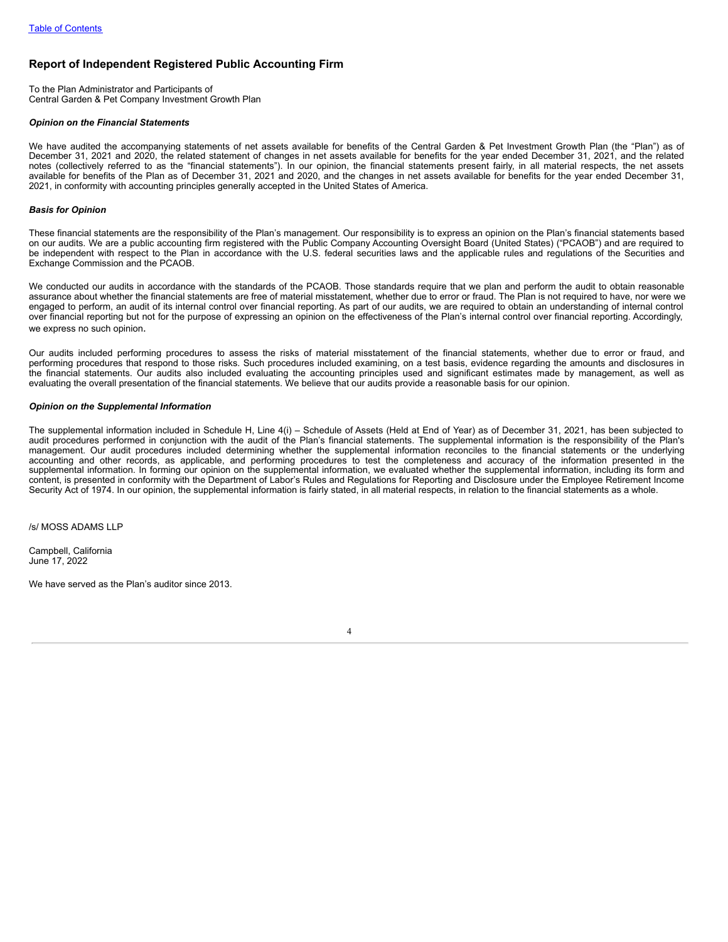## **Report of Independent Registered Public Accounting Firm**

To the Plan Administrator and Participants of Central Garden & Pet Company Investment Growth Plan

#### *Opinion on the Financial Statements*

We have audited the accompanying statements of net assets available for benefits of the Central Garden & Pet Investment Growth Plan (the "Plan") as of December 31, 2021 and 2020, the related statement of changes in net assets available for benefits for the year ended December 31, 2021, and the related notes (collectively referred to as the "financial statements"). In our opinion, the financial statements present fairly, in all material respects, the net assets available for benefits of the Plan as of December 31, 2021 and 2020, and the changes in net assets available for benefits for the year ended December 31, 2021, in conformity with accounting principles generally accepted in the United States of America.

#### *Basis for Opinion*

These financial statements are the responsibility of the Plan's management. Our responsibility is to express an opinion on the Plan's financial statements based on our audits. We are a public accounting firm registered with the Public Company Accounting Oversight Board (United States) ("PCAOB") and are required to be independent with respect to the Plan in accordance with the U.S. federal securities laws and the applicable rules and regulations of the Securities and Exchange Commission and the PCAOB.

We conducted our audits in accordance with the standards of the PCAOB. Those standards require that we plan and perform the audit to obtain reasonable assurance about whether the financial statements are free of material misstatement, whether due to error or fraud. The Plan is not required to have, nor were we engaged to perform, an audit of its internal control over financial reporting. As part of our audits, we are required to obtain an understanding of internal control over financial reporting but not for the purpose of expressing an opinion on the effectiveness of the Plan's internal control over financial reporting. Accordingly, we express no such opinion.

Our audits included performing procedures to assess the risks of material misstatement of the financial statements, whether due to error or fraud, and performing procedures that respond to those risks. Such procedures included examining, on a test basis, evidence regarding the amounts and disclosures in the financial statements. Our audits also included evaluating the accounting principles used and significant estimates made by management, as well as evaluating the overall presentation of the financial statements. We believe that our audits provide a reasonable basis for our opinion.

#### *Opinion on the Supplemental Information*

The supplemental information included in Schedule H, Line 4(i) – Schedule of Assets (Held at End of Year) as of December 31, 2021, has been subjected to audit procedures performed in conjunction with the audit of the Plan's financial statements. The supplemental information is the responsibility of the Plan's management. Our audit procedures included determining whether the supplemental information reconciles to the financial statements or the underlying accounting and other records, as applicable, and performing procedures to test the completeness and accuracy of the information presented in the supplemental information. In forming our opinion on the supplemental information, we evaluated whether the supplemental information, including its form and content, is presented in conformity with the Department of Labor's Rules and Regulations for Reporting and Disclosure under the Employee Retirement Income Security Act of 1974. In our opinion, the supplemental information is fairly stated, in all material respects, in relation to the financial statements as a whole.

/s/ MOSS ADAMS LLP

Campbell, California June 17, 2022

<span id="page-3-0"></span>We have served as the Plan's auditor since 2013.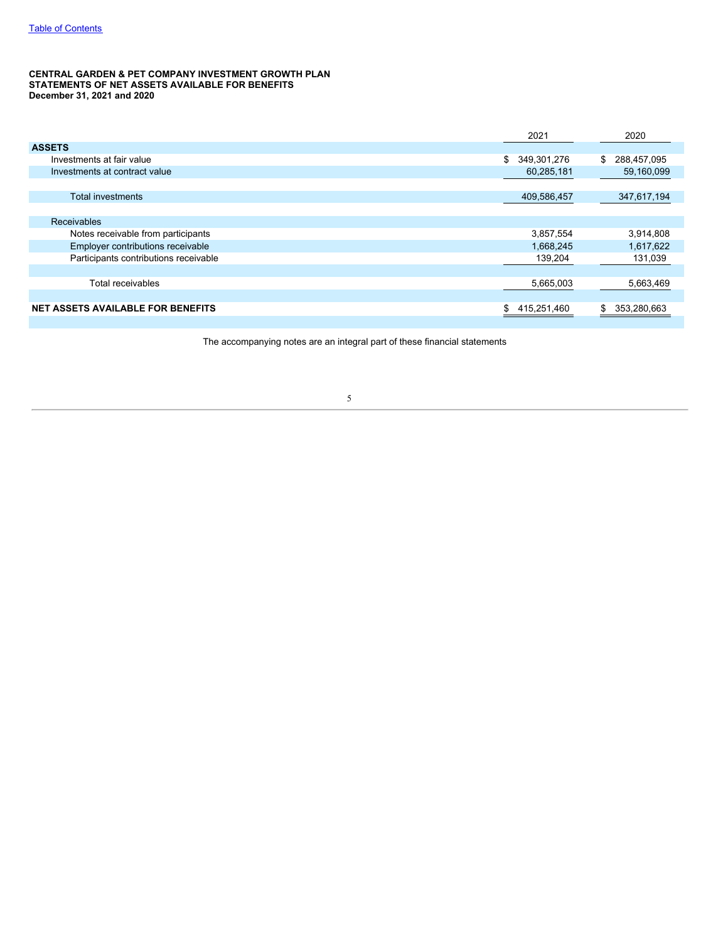#### **CENTRAL GARDEN & PET COMPANY INVESTMENT GROWTH PLAN STATEMENTS OF NET ASSETS AVAILABLE FOR BENEFITS December 31, 2021 and 2020**

|                                          | 2021               | 2020              |
|------------------------------------------|--------------------|-------------------|
| <b>ASSETS</b>                            |                    |                   |
| Investments at fair value                | \$<br>349,301,276  | \$<br>288,457,095 |
| Investments at contract value            | 60,285,181         | 59,160,099        |
|                                          |                    |                   |
| <b>Total investments</b>                 | 409,586,457        | 347,617,194       |
|                                          |                    |                   |
| Receivables                              |                    |                   |
| Notes receivable from participants       | 3,857,554          | 3,914,808         |
| Employer contributions receivable        | 1,668,245          | 1,617,622         |
| Participants contributions receivable    | 139,204            | 131,039           |
|                                          |                    |                   |
| Total receivables                        | 5,665,003          | 5,663,469         |
|                                          |                    |                   |
| <b>NET ASSETS AVAILABLE FOR BENEFITS</b> | \$.<br>415,251,460 | 353,280,663       |
|                                          |                    |                   |

<span id="page-4-0"></span>The accompanying notes are an integral part of these financial statements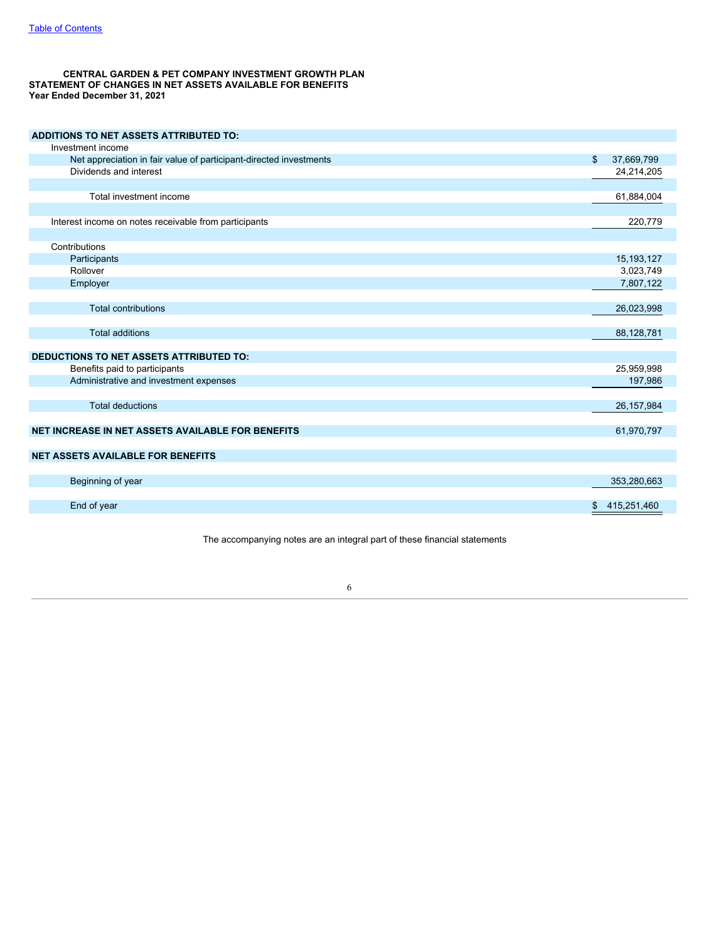#### **CENTRAL GARDEN & PET COMPANY INVESTMENT GROWTH PLAN STATEMENT OF CHANGES IN NET ASSETS AVAILABLE FOR BENEFITS Year Ended December 31, 2021**

| <b>ADDITIONS TO NET ASSETS ATTRIBUTED TO:</b>                      |                   |
|--------------------------------------------------------------------|-------------------|
| Investment income                                                  |                   |
| Net appreciation in fair value of participant-directed investments | \$<br>37,669,799  |
| Dividends and interest                                             | 24,214,205        |
|                                                                    |                   |
| Total investment income                                            | 61,884,004        |
|                                                                    |                   |
| Interest income on notes receivable from participants              | 220,779           |
|                                                                    |                   |
| Contributions                                                      |                   |
| Participants                                                       | 15, 193, 127      |
| Rollover                                                           | 3,023,749         |
| Employer                                                           | 7,807,122         |
|                                                                    |                   |
| <b>Total contributions</b>                                         | 26,023,998        |
|                                                                    |                   |
| <b>Total additions</b>                                             | 88,128,781        |
|                                                                    |                   |
| <b>DEDUCTIONS TO NET ASSETS ATTRIBUTED TO:</b>                     |                   |
|                                                                    |                   |
| Benefits paid to participants                                      | 25,959,998        |
| Administrative and investment expenses                             | 197,986           |
|                                                                    |                   |
| <b>Total deductions</b>                                            | 26, 157, 984      |
|                                                                    |                   |
| NET INCREASE IN NET ASSETS AVAILABLE FOR BENEFITS                  | 61,970,797        |
|                                                                    |                   |
| <b>NET ASSETS AVAILABLE FOR BENEFITS</b>                           |                   |
|                                                                    |                   |
| Beginning of year                                                  | 353,280,663       |
|                                                                    |                   |
| End of year                                                        | \$<br>415,251,460 |
|                                                                    |                   |

<span id="page-5-0"></span>The accompanying notes are an integral part of these financial statements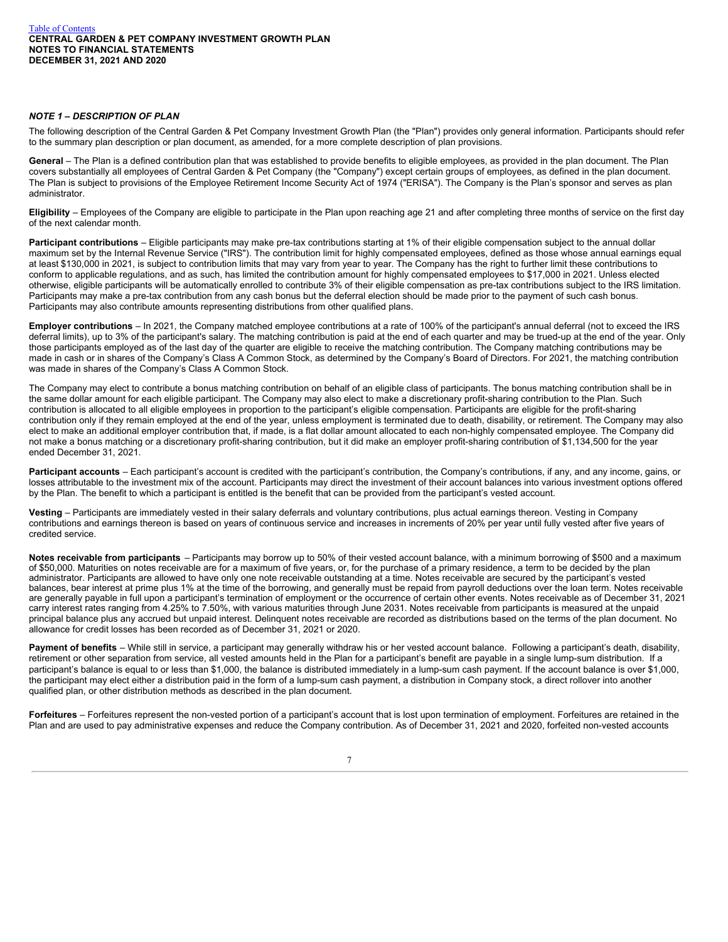## *NOTE 1 – DESCRIPTION OF PLAN*

The following description of the Central Garden & Pet Company Investment Growth Plan (the "Plan") provides only general information. Participants should refer to the summary plan description or plan document, as amended, for a more complete description of plan provisions.

**General** – The Plan is a defined contribution plan that was established to provide benefits to eligible employees, as provided in the plan document. The Plan covers substantially all employees of Central Garden & Pet Company (the "Company") except certain groups of employees, as defined in the plan document. The Plan is subject to provisions of the Employee Retirement Income Security Act of 1974 ("ERISA"). The Company is the Plan's sponsor and serves as plan administrator.

**Eligibility** – Employees of the Company are eligible to participate in the Plan upon reaching age 21 and after completing three months of service on the first day of the next calendar month.

**Participant contributions** – Eligible participants may make pre-tax contributions starting at 1% of their eligible compensation subject to the annual dollar maximum set by the Internal Revenue Service ("IRS"). The contribution limit for highly compensated employees, defined as those whose annual earnings equal at least \$130,000 in 2021, is subject to contribution limits that may vary from year to year. The Company has the right to further limit these contributions to conform to applicable regulations, and as such, has limited the contribution amount for highly compensated employees to \$17,000 in 2021. Unless elected otherwise, eligible participants will be automatically enrolled to contribute 3% of their eligible compensation as pre-tax contributions subject to the IRS limitation. Participants may make a pre-tax contribution from any cash bonus but the deferral election should be made prior to the payment of such cash bonus. Participants may also contribute amounts representing distributions from other qualified plans.

**Employer contributions** – In 2021, the Company matched employee contributions at a rate of 100% of the participant's annual deferral (not to exceed the IRS deferral limits), up to 3% of the participant's salary. The matching contribution is paid at the end of each quarter and may be trued-up at the end of the year. Only those participants employed as of the last day of the quarter are eligible to receive the matching contribution. The Company matching contributions may be made in cash or in shares of the Company's Class A Common Stock, as determined by the Company's Board of Directors. For 2021, the matching contribution was made in shares of the Company's Class A Common Stock.

The Company may elect to contribute a bonus matching contribution on behalf of an eligible class of participants. The bonus matching contribution shall be in the same dollar amount for each eligible participant. The Company may also elect to make a discretionary profit-sharing contribution to the Plan. Such contribution is allocated to all eligible employees in proportion to the participant's eligible compensation. Participants are eligible for the profit-sharing contribution only if they remain employed at the end of the year, unless employment is terminated due to death, disability, or retirement. The Company may also elect to make an additional employer contribution that, if made, is a flat dollar amount allocated to each non-highly compensated employee. The Company did not make a bonus matching or a discretionary profit-sharing contribution, but it did make an employer profit-sharing contribution of \$1,134,500 for the year ended December 31, 2021.

**Participant accounts** – Each participant's account is credited with the participant's contribution, the Company's contributions, if any, and any income, gains, or losses attributable to the investment mix of the account. Participants may direct the investment of their account balances into various investment options offered by the Plan. The benefit to which a participant is entitled is the benefit that can be provided from the participant's vested account.

**Vesting** – Participants are immediately vested in their salary deferrals and voluntary contributions, plus actual earnings thereon. Vesting in Company contributions and earnings thereon is based on years of continuous service and increases in increments of 20% per year until fully vested after five years of credited service.

**Notes receivable from participants** – Participants may borrow up to 50% of their vested account balance, with a minimum borrowing of \$500 and a maximum of \$50,000. Maturities on notes receivable are for a maximum of five years, or, for the purchase of a primary residence, a term to be decided by the plan administrator. Participants are allowed to have only one note receivable outstanding at a time. Notes receivable are secured by the participant's vested balances, bear interest at prime plus 1% at the time of the borrowing, and generally must be repaid from payroll deductions over the loan term. Notes receivable are generally payable in full upon a participant's termination of employment or the occurrence of certain other events. Notes receivable as of December 31, 2021 carry interest rates ranging from 4.25% to 7.50%, with various maturities through June 2031. Notes receivable from participants is measured at the unpaid principal balance plus any accrued but unpaid interest. Delinquent notes receivable are recorded as distributions based on the terms of the plan document. No allowance for credit losses has been recorded as of December 31, 2021 or 2020.

Payment of benefits - While still in service, a participant may generally withdraw his or her vested account balance. Following a participant's death, disability, retirement or other separation from service, all vested amounts held in the Plan for a participant's benefit are payable in a single lump-sum distribution. If a participant's balance is equal to or less than \$1,000, the balance is distributed immediately in a lump-sum cash payment. If the account balance is over \$1,000, the participant may elect either a distribution paid in the form of a lump-sum cash payment, a distribution in Company stock, a direct rollover into another qualified plan, or other distribution methods as described in the plan document.

**Forfeitures** – Forfeitures represent the non-vested portion of a participant's account that is lost upon termination of employment. Forfeitures are retained in the Plan and are used to pay administrative expenses and reduce the Company contribution. As of December 31, 2021 and 2020, forfeited non-vested accounts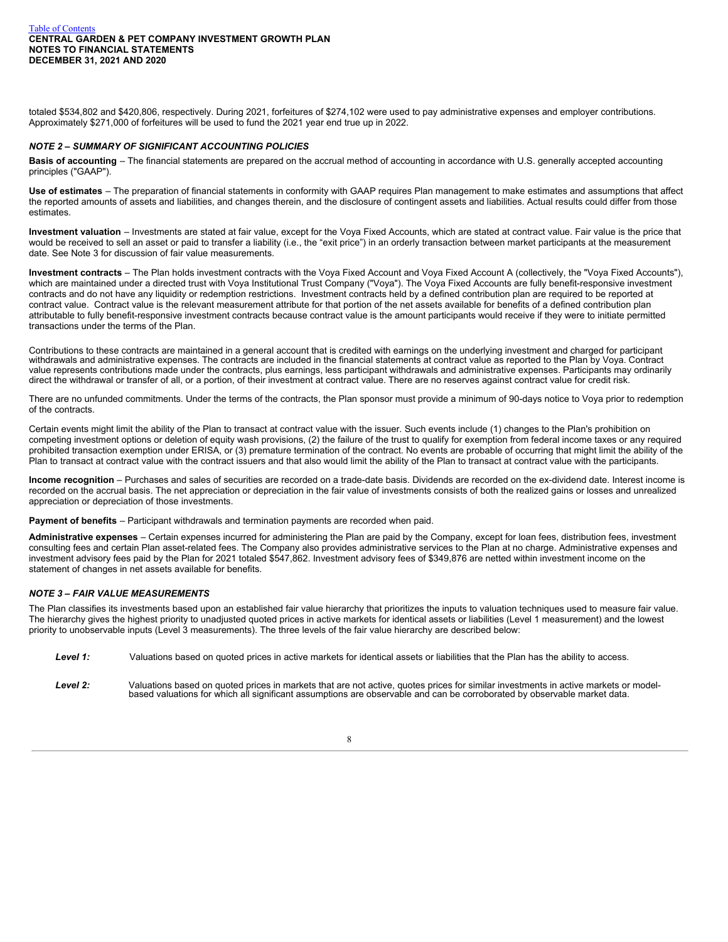#### Table of [Contents](#page-0-0) **CENTRAL GARDEN & PET COMPANY INVESTMENT GROWTH PLAN NOTES TO FINANCIAL STATEMENTS DECEMBER 31, 2021 AND 2020**

totaled \$534,802 and \$420,806, respectively. During 2021, forfeitures of \$274,102 were used to pay administrative expenses and employer contributions. Approximately \$271,000 of forfeitures will be used to fund the 2021 year end true up in 2022.

#### *NOTE 2 – SUMMARY OF SIGNIFICANT ACCOUNTING POLICIES*

**Basis of accounting** – The financial statements are prepared on the accrual method of accounting in accordance with U.S. generally accepted accounting principles ("GAAP").

**Use of estimates** – The preparation of financial statements in conformity with GAAP requires Plan management to make estimates and assumptions that affect the reported amounts of assets and liabilities, and changes therein, and the disclosure of contingent assets and liabilities. Actual results could differ from those estimates.

**Investment valuation** – Investments are stated at fair value, except for the Voya Fixed Accounts, which are stated at contract value. Fair value is the price that would be received to sell an asset or paid to transfer a liability (i.e., the "exit price") in an orderly transaction between market participants at the measurement date. See Note 3 for discussion of fair value measurements.

**Investment contracts** – The Plan holds investment contracts with the Voya Fixed Account and Voya Fixed Account A (collectively, the "Voya Fixed Accounts"), which are maintained under a directed trust with Voya Institutional Trust Company ("Voya"). The Voya Fixed Accounts are fully benefit-responsive investment contracts and do not have any liquidity or redemption restrictions. Investment contracts held by a defined contribution plan are required to be reported at contract value. Contract value is the relevant measurement attribute for that portion of the net assets available for benefits of a defined contribution plan attributable to fully benefit-responsive investment contracts because contract value is the amount participants would receive if they were to initiate permitted transactions under the terms of the Plan.

Contributions to these contracts are maintained in a general account that is credited with earnings on the underlying investment and charged for participant withdrawals and administrative expenses. The contracts are included in the financial statements at contract value as reported to the Plan by Voya. Contract value represents contributions made under the contracts, plus earnings, less participant withdrawals and administrative expenses. Participants may ordinarily direct the withdrawal or transfer of all, or a portion, of their investment at contract value. There are no reserves against contract value for credit risk.

There are no unfunded commitments. Under the terms of the contracts, the Plan sponsor must provide a minimum of 90-days notice to Voya prior to redemption of the contracts.

Certain events might limit the ability of the Plan to transact at contract value with the issuer. Such events include (1) changes to the Plan's prohibition on competing investment options or deletion of equity wash provisions, (2) the failure of the trust to qualify for exemption from federal income taxes or any required prohibited transaction exemption under ERISA, or (3) premature termination of the contract. No events are probable of occurring that might limit the ability of the Plan to transact at contract value with the contract issuers and that also would limit the ability of the Plan to transact at contract value with the participants.

**Income recognition** – Purchases and sales of securities are recorded on a trade-date basis. Dividends are recorded on the ex-dividend date. Interest income is recorded on the accrual basis. The net appreciation or depreciation in the fair value of investments consists of both the realized gains or losses and unrealized appreciation or depreciation of those investments.

**Payment of benefits** – Participant withdrawals and termination payments are recorded when paid.

**Administrative expenses** – Certain expenses incurred for administering the Plan are paid by the Company, except for loan fees, distribution fees, investment consulting fees and certain Plan asset-related fees. The Company also provides administrative services to the Plan at no charge. Administrative expenses and investment advisory fees paid by the Plan for 2021 totaled \$547,862. Investment advisory fees of \$349,876 are netted within investment income on the statement of changes in net assets available for benefits.

#### *NOTE 3 – FAIR VALUE MEASUREMENTS*

The Plan classifies its investments based upon an established fair value hierarchy that prioritizes the inputs to valuation techniques used to measure fair value. The hierarchy gives the highest priority to unadjusted quoted prices in active markets for identical assets or liabilities (Level 1 measurement) and the lowest priority to unobservable inputs (Level 3 measurements). The three levels of the fair value hierarchy are described below:

*Level 1:* Valuations based on quoted prices in active markets for identical assets or liabilities that the Plan has the ability to access.

Level 2: Valuations based on quoted prices in markets that are not active, quotes prices for similar investments in active markets or model-<br>based valuations for which all significant assumptions are observable and can be

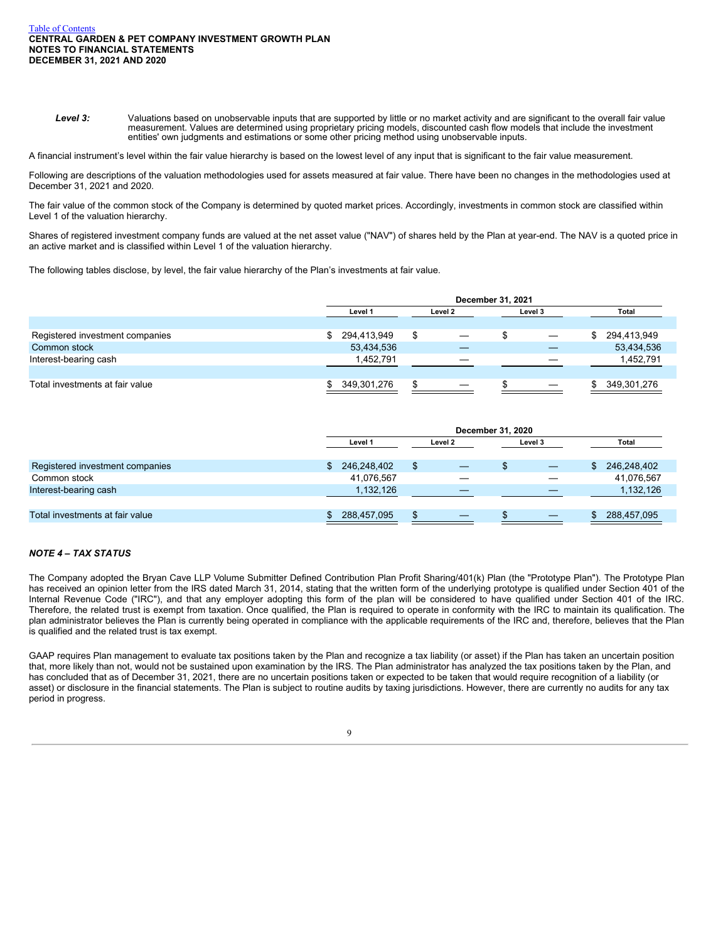Level 3: Valuations based on unobservable inputs that are supported by little or no market activity and are significant to the overall fair value<br>measurement. Values are determined using proprietary pricing models, discoun entities' own judgments and estimations or some other pricing method using unobservable inputs.

A financial instrument's level within the fair value hierarchy is based on the lowest level of any input that is significant to the fair value measurement.

Following are descriptions of the valuation methodologies used for assets measured at fair value. There have been no changes in the methodologies used at December 31, 2021 and 2020.

The fair value of the common stock of the Company is determined by quoted market prices. Accordingly, investments in common stock are classified within Level 1 of the valuation hierarchy.

Shares of registered investment company funds are valued at the net asset value ("NAV") of shares held by the Plan at year-end. The NAV is a quoted price in an active market and is classified within Level 1 of the valuation hierarchy.

The following tables disclose, by level, the fair value hierarchy of the Plan's investments at fair value.

|                                 |             | December 31, 2021        |         |             |  |
|---------------------------------|-------------|--------------------------|---------|-------------|--|
|                                 | Level 1     | Level 2                  | Level 3 | Total       |  |
|                                 |             |                          |         |             |  |
| Registered investment companies | 294,413,949 |                          |         | 294,413,949 |  |
| Common stock                    | 53,434,536  |                          |         | 53,434,536  |  |
| Interest-bearing cash           | 1,452,791   |                          |         | 1,452,791   |  |
|                                 |             |                          |         |             |  |
| Total investments at fair value | 349,301,276 | $\overline{\phantom{0}}$ |         | 349,301,276 |  |

|                                 |             | December 31, 2020 |   |  |         |             |
|---------------------------------|-------------|-------------------|---|--|---------|-------------|
|                                 | Level 1     | Level 2           |   |  | Level 3 | Total       |
| Registered investment companies | 246,248,402 |                   |   |  |         | 246,248,402 |
| Common stock                    | 41,076,567  |                   |   |  |         | 41,076,567  |
| Interest-bearing cash           | 1,132,126   |                   | _ |  |         | 1,132,126   |
|                                 |             |                   |   |  |         |             |
| Total investments at fair value | 288,457,095 |                   |   |  | –       | 288,457,095 |

#### *NOTE 4 – TAX STATUS*

The Company adopted the Bryan Cave LLP Volume Submitter Defined Contribution Plan Profit Sharing/401(k) Plan (the "Prototype Plan"). The Prototype Plan has received an opinion letter from the IRS dated March 31, 2014, stating that the written form of the underlying prototype is qualified under Section 401 of the Internal Revenue Code ("IRC"), and that any employer adopting this form of the plan will be considered to have qualified under Section 401 of the IRC. Therefore, the related trust is exempt from taxation. Once qualified, the Plan is required to operate in conformity with the IRC to maintain its qualification. The plan administrator believes the Plan is currently being operated in compliance with the applicable requirements of the IRC and, therefore, believes that the Plan is qualified and the related trust is tax exempt.

GAAP requires Plan management to evaluate tax positions taken by the Plan and recognize a tax liability (or asset) if the Plan has taken an uncertain position that, more likely than not, would not be sustained upon examination by the IRS. The Plan administrator has analyzed the tax positions taken by the Plan, and has concluded that as of December 31, 2021, there are no uncertain positions taken or expected to be taken that would require recognition of a liability (or asset) or disclosure in the financial statements. The Plan is subject to routine audits by taxing jurisdictions. However, there are currently no audits for any tax period in progress.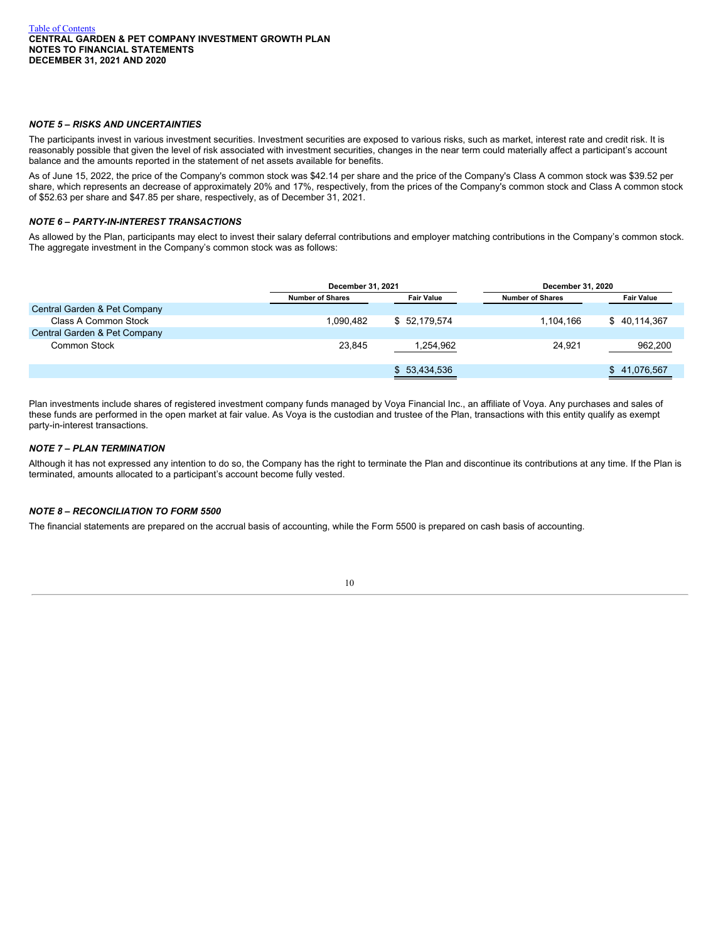#### *NOTE 5 – RISKS AND UNCERTAINTIES*

The participants invest in various investment securities. Investment securities are exposed to various risks, such as market, interest rate and credit risk. It is reasonably possible that given the level of risk associated with investment securities, changes in the near term could materially affect a participant's account balance and the amounts reported in the statement of net assets available for benefits.

As of June 15, 2022, the price of the Company's common stock was \$42.14 per share and the price of the Company's Class A common stock was \$39.52 per share, which represents an decrease of approximately 20% and 17%, respectively, from the prices of the Company's common stock and Class A common stock of \$52.63 per share and \$47.85 per share, respectively, as of December 31, 2021.

#### *NOTE 6 – PARTY-IN-INTEREST TRANSACTIONS*

As allowed by the Plan, participants may elect to invest their salary deferral contributions and employer matching contributions in the Company's common stock. The aggregate investment in the Company's common stock was as follows:

|                              |                         | December 31, 2021<br>December 31, 2020 |                         |                   |  |  |
|------------------------------|-------------------------|----------------------------------------|-------------------------|-------------------|--|--|
|                              | <b>Number of Shares</b> | <b>Fair Value</b>                      | <b>Number of Shares</b> | <b>Fair Value</b> |  |  |
| Central Garden & Pet Company |                         |                                        |                         |                   |  |  |
| Class A Common Stock         | 1,090,482               | \$52,179.574                           | 1.104.166               | \$40.114.367      |  |  |
| Central Garden & Pet Company |                         |                                        |                         |                   |  |  |
| Common Stock                 | 23.845                  | 1.254.962                              | 24.921                  | 962.200           |  |  |
|                              |                         | \$ 53,434,536                          |                         | \$41,076,567      |  |  |

Plan investments include shares of registered investment company funds managed by Voya Financial Inc., an affiliate of Voya. Any purchases and sales of these funds are performed in the open market at fair value. As Voya is the custodian and trustee of the Plan, transactions with this entity qualify as exempt party-in-interest transactions.

## *NOTE 7 – PLAN TERMINATION*

Although it has not expressed any intention to do so, the Company has the right to terminate the Plan and discontinue its contributions at any time. If the Plan is terminated, amounts allocated to a participant's account become fully vested.

## *NOTE 8 – RECONCILIATION TO FORM 5500*

The financial statements are prepared on the accrual basis of accounting, while the Form 5500 is prepared on cash basis of accounting.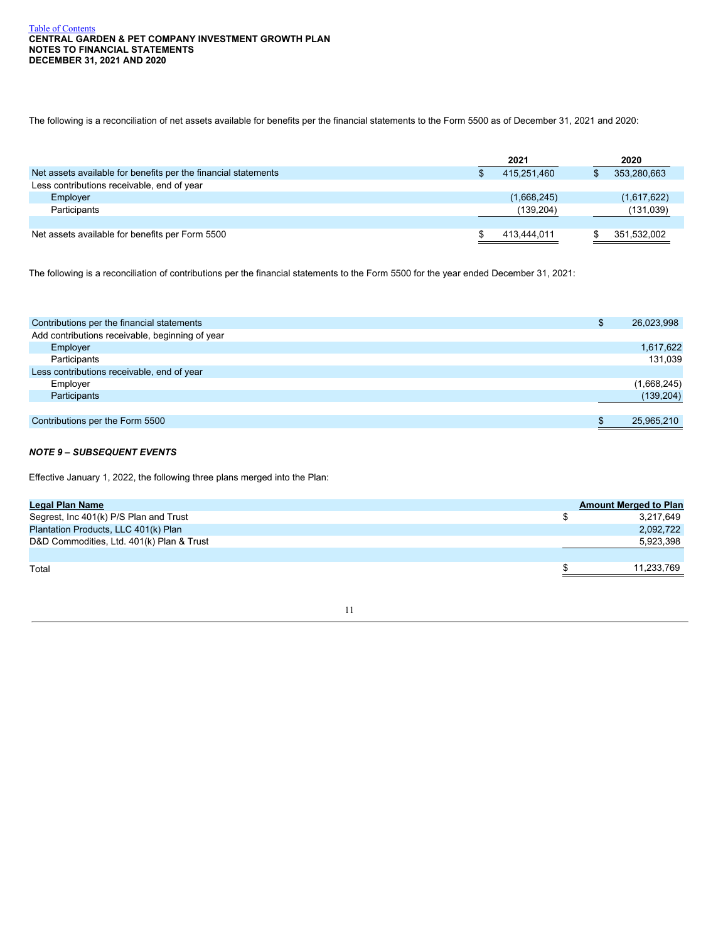#### Table of [Contents](#page-0-0) **CENTRAL GARDEN & PET COMPANY INVESTMENT GROWTH PLAN NOTES TO FINANCIAL STATEMENTS DECEMBER 31, 2021 AND 2020**

The following is a reconciliation of net assets available for benefits per the financial statements to the Form 5500 as of December 31, 2021 and 2020:

|                                                                | 2021        | 2020        |
|----------------------------------------------------------------|-------------|-------------|
| Net assets available for benefits per the financial statements | 415.251.460 | 353.280.663 |
| Less contributions receivable, end of year                     |             |             |
| Employer                                                       | (1,668,245) | (1,617,622) |
| Participants                                                   | (139, 204)  | (131, 039)  |
|                                                                |             |             |
| Net assets available for benefits per Form 5500                | 413.444.011 | 351,532,002 |
|                                                                |             |             |

The following is a reconciliation of contributions per the financial statements to the Form 5500 for the year ended December 31, 2021:

| Contributions per the financial statements      | 26,023,998  |
|-------------------------------------------------|-------------|
| Add contributions receivable, beginning of year |             |
| Employer                                        | 1,617,622   |
| Participants                                    | 131,039     |
| Less contributions receivable, end of year      |             |
| Employer                                        | (1,668,245) |
| Participants                                    | (139, 204)  |
|                                                 |             |
| Contributions per the Form 5500                 | 25,965,210  |

## *NOTE 9 – SUBSEQUENT EVENTS*

Effective January 1, 2022, the following three plans merged into the Plan:

<span id="page-10-0"></span>

| Legal Plan Name                           | <b>Amount Merged to Plan</b> |
|-------------------------------------------|------------------------------|
| Segrest, Inc 401(k) P/S Plan and Trust    | 3.217.649                    |
| Plantation Products, LLC 401(k) Plan      | 2,092,722                    |
| D&D Commodities, Ltd. 401(k) Plan & Trust | 5.923.398                    |
|                                           |                              |
| Total                                     | 11,233,769                   |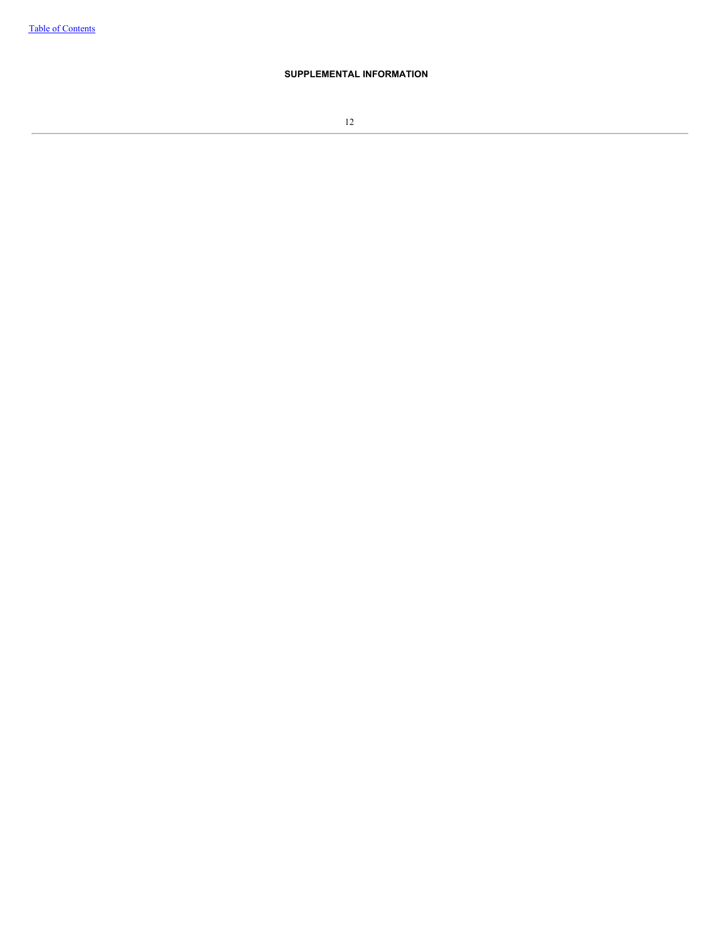## <span id="page-11-0"></span>**SUPPLEMENTAL INFORMATION**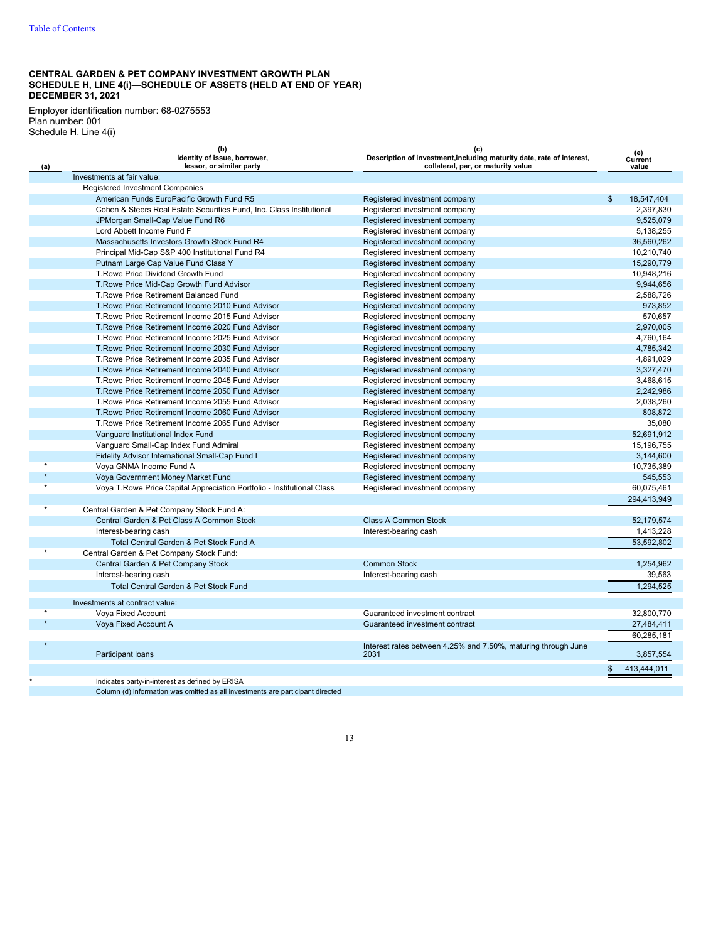**CENTRAL GARDEN & PET COMPANY INVESTMENT GROWTH PLAN SCHEDULE H, LINE 4(i)—SCHEDULE OF ASSETS (HELD AT END OF YEAR) DECEMBER 31, 2021**

Employer identification number: 68-0275553 Plan number: 001 Schedule H, Line 4(i)

| (a)     | (b)<br>Identity of issue, borrower,<br>lessor, or similar party        | (c)<br>Description of investment, including maturity date, rate of interest,<br>collateral, par, or maturity value | (e)<br>Current<br>value |
|---------|------------------------------------------------------------------------|--------------------------------------------------------------------------------------------------------------------|-------------------------|
|         | Investments at fair value:                                             |                                                                                                                    |                         |
|         | Registered Investment Companies                                        |                                                                                                                    |                         |
|         | American Funds EuroPacific Growth Fund R5                              | Registered investment company                                                                                      | \$<br>18,547,404        |
|         | Cohen & Steers Real Estate Securities Fund, Inc. Class Institutional   | Registered investment company                                                                                      | 2,397,830               |
|         | JPMorgan Small-Cap Value Fund R6                                       | Registered investment company                                                                                      | 9,525,079               |
|         | Lord Abbett Income Fund F                                              | Registered investment company                                                                                      | 5,138,255               |
|         | Massachusetts Investors Growth Stock Fund R4                           | Registered investment company                                                                                      | 36,560,262              |
|         | Principal Mid-Cap S&P 400 Institutional Fund R4                        | Registered investment company                                                                                      | 10,210,740              |
|         | Putnam Large Cap Value Fund Class Y                                    | Registered investment company                                                                                      | 15,290,779              |
|         | T.Rowe Price Dividend Growth Fund                                      | Registered investment company                                                                                      | 10,948,216              |
|         | T.Rowe Price Mid-Cap Growth Fund Advisor                               | Registered investment company                                                                                      | 9,944,656               |
|         | T.Rowe Price Retirement Balanced Fund                                  | Registered investment company                                                                                      | 2,588,726               |
|         | T. Rowe Price Retirement Income 2010 Fund Advisor                      | Registered investment company                                                                                      | 973,852                 |
|         | T. Rowe Price Retirement Income 2015 Fund Advisor                      | Registered investment company                                                                                      | 570,657                 |
|         | T. Rowe Price Retirement Income 2020 Fund Advisor                      | Registered investment company                                                                                      | 2,970,005               |
|         | T. Rowe Price Retirement Income 2025 Fund Advisor                      | Registered investment company                                                                                      | 4,760,164               |
|         | T. Rowe Price Retirement Income 2030 Fund Advisor                      | Registered investment company                                                                                      | 4,785,342               |
|         | T.Rowe Price Retirement Income 2035 Fund Advisor                       | Registered investment company                                                                                      | 4,891,029               |
|         | T. Rowe Price Retirement Income 2040 Fund Advisor                      | Registered investment company                                                                                      | 3,327,470               |
|         | T. Rowe Price Retirement Income 2045 Fund Advisor                      | Registered investment company                                                                                      | 3,468,615               |
|         | T. Rowe Price Retirement Income 2050 Fund Advisor                      | Registered investment company                                                                                      | 2,242,986               |
|         | T.Rowe Price Retirement Income 2055 Fund Advisor                       | Registered investment company                                                                                      | 2,038,260               |
|         | T. Rowe Price Retirement Income 2060 Fund Advisor                      | Registered investment company                                                                                      | 808,872                 |
|         | T. Rowe Price Retirement Income 2065 Fund Advisor                      | Registered investment company                                                                                      | 35.080                  |
|         | Vanguard Institutional Index Fund                                      | Registered investment company                                                                                      | 52,691,912              |
|         | Vanguard Small-Cap Index Fund Admiral                                  | Registered investment company                                                                                      | 15,196,755              |
|         | Fidelity Advisor International Small-Cap Fund I                        | Registered investment company                                                                                      | 3,144,600               |
|         | Voya GNMA Income Fund A                                                | Registered investment company                                                                                      | 10,735,389              |
|         | Voya Government Money Market Fund                                      | Registered investment company                                                                                      | 545,553                 |
|         | Voya T.Rowe Price Capital Appreciation Portfolio - Institutional Class | Registered investment company                                                                                      | 60,075,461              |
|         |                                                                        |                                                                                                                    | 294,413,949             |
| $\star$ | Central Garden & Pet Company Stock Fund A:                             |                                                                                                                    |                         |
|         | Central Garden & Pet Class A Common Stock                              | <b>Class A Common Stock</b>                                                                                        | 52,179,574              |
|         | Interest-bearing cash                                                  | Interest-bearing cash                                                                                              | 1,413,228               |
|         | Total Central Garden & Pet Stock Fund A                                |                                                                                                                    | 53,592,802              |
|         | Central Garden & Pet Company Stock Fund:                               |                                                                                                                    |                         |
|         | Central Garden & Pet Company Stock                                     | <b>Common Stock</b>                                                                                                | 1,254,962               |
|         | Interest-bearing cash                                                  | Interest-bearing cash                                                                                              | 39,563                  |
|         | <b>Total Central Garden &amp; Pet Stock Fund</b>                       |                                                                                                                    | 1,294,525               |
|         |                                                                        |                                                                                                                    |                         |
|         | Investments at contract value:                                         |                                                                                                                    |                         |
|         | Voya Fixed Account                                                     | Guaranteed investment contract                                                                                     | 32,800,770              |
|         | Voya Fixed Account A                                                   | Guaranteed investment contract                                                                                     | 27,484,411              |
|         |                                                                        |                                                                                                                    | 60,285,181              |
|         |                                                                        | Interest rates between 4.25% and 7.50%, maturing through June                                                      |                         |
|         | Participant loans                                                      | 2031                                                                                                               | 3,857,554               |
|         |                                                                        |                                                                                                                    | \$<br>413,444,011       |
|         | Indicates party-in-interest as defined by ERISA                        |                                                                                                                    |                         |

Column (d) information was omitted as all investments are participant directed